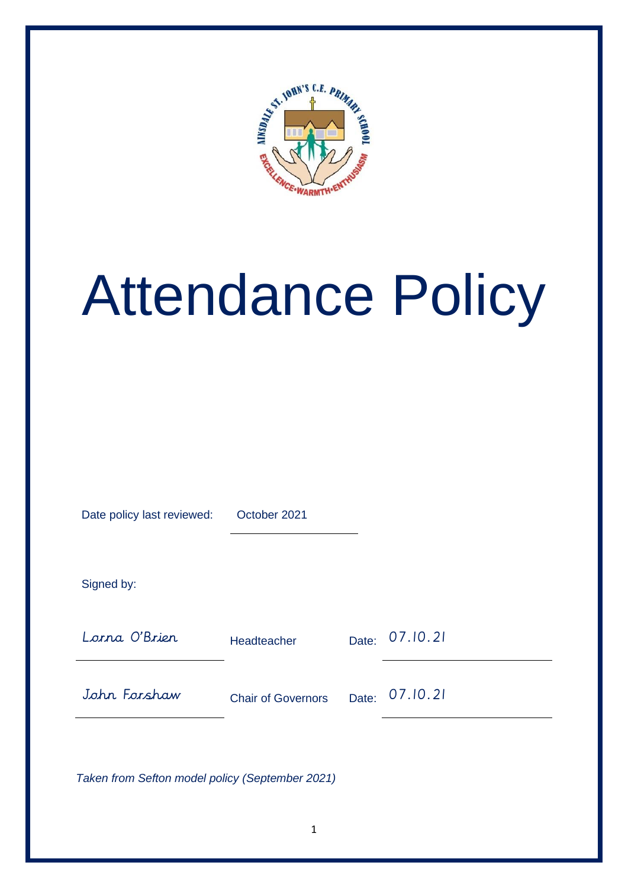

# Attendance Policy

Date policy last reviewed: October 2021 Signed by: Lorna O'Brien Headteacher Date: 07.10.21 John Forshaw Chair of Governors Date: 07.10.21

*Taken from Sefton model policy (September 2021)*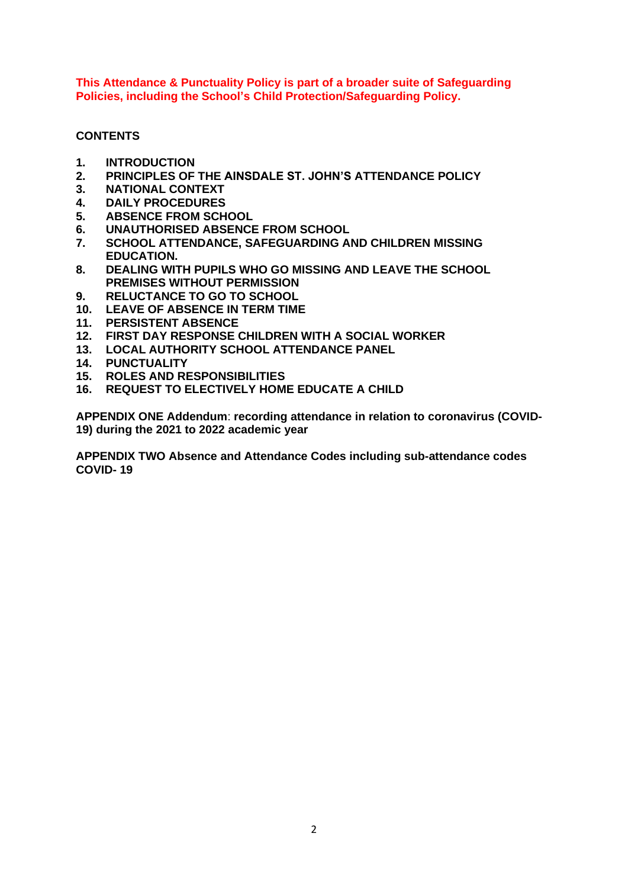**This Attendance & Punctuality Policy is part of a broader suite of Safeguarding Policies, including the School's Child Protection/Safeguarding Policy.**

# **CONTENTS**

- **1. INTRODUCTION**
- **2. PRINCIPLES OF THE AINSDALE ST. JOHN'S ATTENDANCE POLICY**
- **3. NATIONAL CONTEXT**
- **4. DAILY PROCEDURES**
- **5. ABSENCE FROM SCHOOL**
- **6. UNAUTHORISED ABSENCE FROM SCHOOL**
- **7. SCHOOL ATTENDANCE, SAFEGUARDING AND CHILDREN MISSING EDUCATION.**
- **8. DEALING WITH PUPILS WHO GO MISSING AND LEAVE THE SCHOOL PREMISES WITHOUT PERMISSION**
- **9. RELUCTANCE TO GO TO SCHOOL**
- **10. LEAVE OF ABSENCE IN TERM TIME**
- **11. PERSISTENT ABSENCE**
- **12. FIRST DAY RESPONSE CHILDREN WITH A SOCIAL WORKER**
- **13. LOCAL AUTHORITY SCHOOL ATTENDANCE PANEL**
- **14. PUNCTUALITY**
- **15. ROLES AND RESPONSIBILITIES**
- **16. REQUEST TO ELECTIVELY HOME EDUCATE A CHILD**

**APPENDIX ONE Addendum**: **recording attendance in relation to coronavirus (COVID-19) during the 2021 to 2022 academic year**

**APPENDIX TWO Absence and Attendance Codes including sub-attendance codes COVID- 19**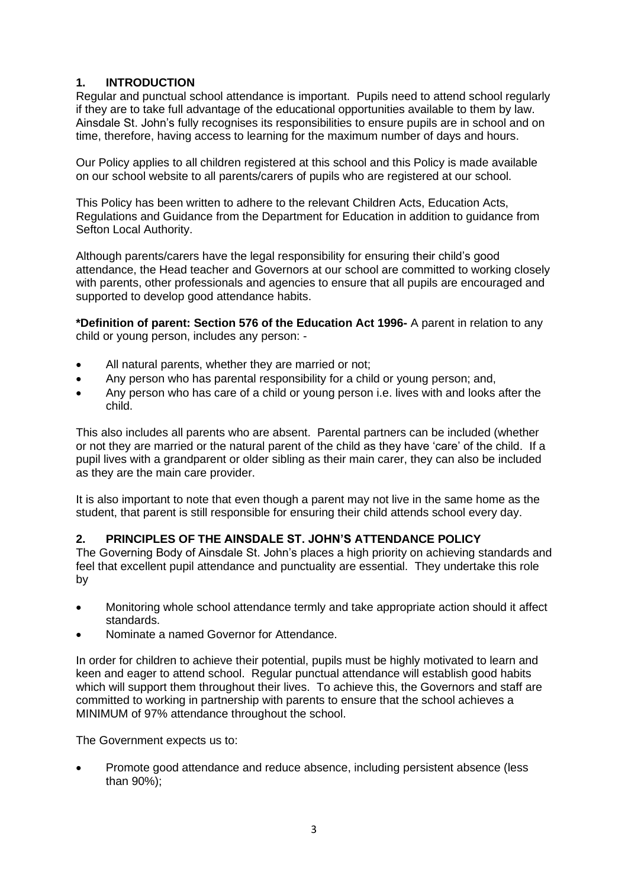# **1. INTRODUCTION**

Regular and punctual school attendance is important. Pupils need to attend school regularly if they are to take full advantage of the educational opportunities available to them by law. Ainsdale St. John's fully recognises its responsibilities to ensure pupils are in school and on time, therefore, having access to learning for the maximum number of days and hours.

Our Policy applies to all children registered at this school and this Policy is made available on our school website to all parents/carers of pupils who are registered at our school.

This Policy has been written to adhere to the relevant Children Acts, Education Acts, Regulations and Guidance from the Department for Education in addition to guidance from Sefton Local Authority.

Although parents/carers have the legal responsibility for ensuring their child's good attendance, the Head teacher and Governors at our school are committed to working closely with parents, other professionals and agencies to ensure that all pupils are encouraged and supported to develop good attendance habits.

**\*Definition of parent: Section 576 of the Education Act 1996-** A parent in relation to any child or young person, includes any person: -

- All natural parents, whether they are married or not;
- Any person who has parental responsibility for a child or young person; and,
- Any person who has care of a child or young person i.e. lives with and looks after the child.

This also includes all parents who are absent. Parental partners can be included (whether or not they are married or the natural parent of the child as they have 'care' of the child. If a pupil lives with a grandparent or older sibling as their main carer, they can also be included as they are the main care provider.

It is also important to note that even though a parent may not live in the same home as the student, that parent is still responsible for ensuring their child attends school every day.

# **2. PRINCIPLES OF THE AINSDALE ST. JOHN'S ATTENDANCE POLICY**

The Governing Body of Ainsdale St. John's places a high priority on achieving standards and feel that excellent pupil attendance and punctuality are essential. They undertake this role by

- Monitoring whole school attendance termly and take appropriate action should it affect standards.
- Nominate a named Governor for Attendance.

In order for children to achieve their potential, pupils must be highly motivated to learn and keen and eager to attend school. Regular punctual attendance will establish good habits which will support them throughout their lives. To achieve this, the Governors and staff are committed to working in partnership with parents to ensure that the school achieves a MINIMUM of 97% attendance throughout the school.

The Government expects us to:

• Promote good attendance and reduce absence, including persistent absence (less than 90%);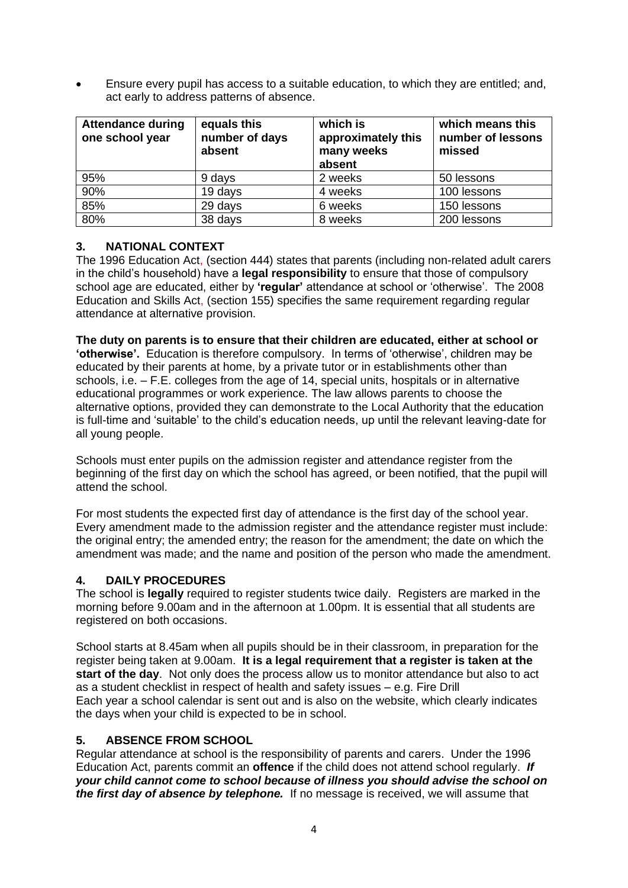• Ensure every pupil has access to a suitable education, to which they are entitled; and, act early to address patterns of absence.

| <b>Attendance during</b><br>one school year | equals this<br>number of days<br>absent | which is<br>approximately this<br>many weeks<br>absent | which means this<br>number of lessons<br>missed |
|---------------------------------------------|-----------------------------------------|--------------------------------------------------------|-------------------------------------------------|
| 95%                                         | 9 days                                  | 2 weeks                                                | 50 lessons                                      |
| 90%                                         | 19 days                                 | 4 weeks                                                | 100 lessons                                     |
| 85%                                         | 29 days                                 | 6 weeks                                                | 150 lessons                                     |
| 80%                                         | 38 days                                 | 8 weeks                                                | 200 lessons                                     |

# **3. NATIONAL CONTEXT**

The 1996 Education Act, (section 444) states that parents (including non-related adult carers in the child's household) have a **legal responsibility** to ensure that those of compulsory school age are educated, either by **'regular'** attendance at school or 'otherwise'. The 2008 Education and Skills Act, (section 155) specifies the same requirement regarding regular attendance at alternative provision.

**The duty on parents is to ensure that their children are educated, either at school or 'otherwise'.** Education is therefore compulsory. In terms of 'otherwise', children may be educated by their parents at home, by a private tutor or in establishments other than schools, i.e. – F.E. colleges from the age of 14, special units, hospitals or in alternative educational programmes or work experience. The law allows parents to choose the alternative options, provided they can demonstrate to the Local Authority that the education is full-time and 'suitable' to the child's education needs, up until the relevant leaving-date for all young people.

Schools must enter pupils on the admission register and attendance register from the beginning of the first day on which the school has agreed, or been notified, that the pupil will attend the school.

For most students the expected first day of attendance is the first day of the school year. Every amendment made to the admission register and the attendance register must include: the original entry; the amended entry; the reason for the amendment; the date on which the amendment was made; and the name and position of the person who made the amendment.

# **4. DAILY PROCEDURES**

The school is **legally** required to register students twice daily. Registers are marked in the morning before 9.00am and in the afternoon at 1.00pm. It is essential that all students are registered on both occasions.

School starts at 8.45am when all pupils should be in their classroom, in preparation for the register being taken at 9.00am. **It is a legal requirement that a register is taken at the start of the day**. Not only does the process allow us to monitor attendance but also to act as a student checklist in respect of health and safety issues – e.g. Fire Drill Each year a school calendar is sent out and is also on the website, which clearly indicates the days when your child is expected to be in school.

## **5. ABSENCE FROM SCHOOL**

Regular attendance at school is the responsibility of parents and carers. Under the 1996 Education Act, parents commit an **offence** if the child does not attend school regularly. *If your child cannot come to school because of illness you should advise the school on the first day of absence by telephone.* If no message is received, we will assume that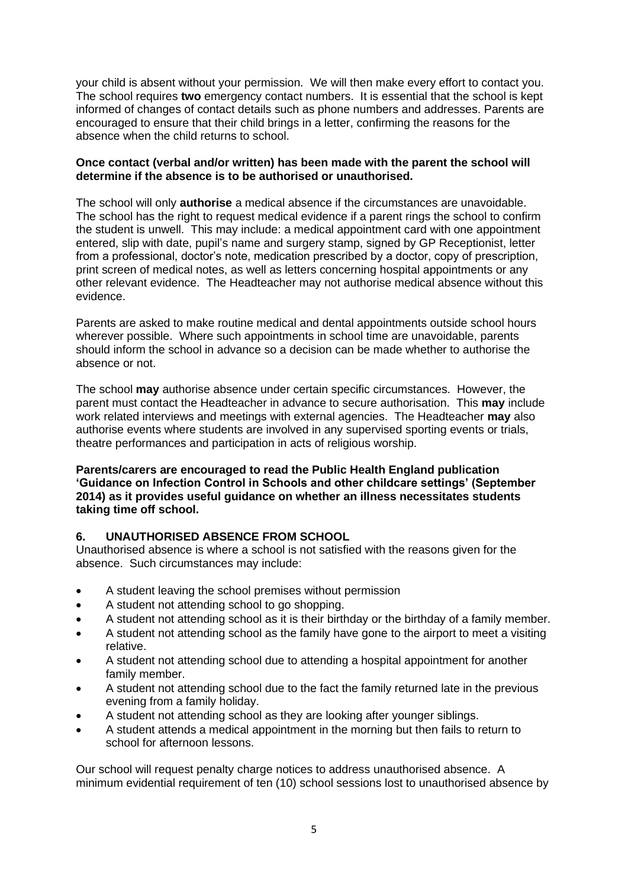your child is absent without your permission. We will then make every effort to contact you. The school requires **two** emergency contact numbers. It is essential that the school is kept informed of changes of contact details such as phone numbers and addresses. Parents are encouraged to ensure that their child brings in a letter, confirming the reasons for the absence when the child returns to school.

## **Once contact (verbal and/or written) has been made with the parent the school will determine if the absence is to be authorised or unauthorised.**

The school will only **authorise** a medical absence if the circumstances are unavoidable. The school has the right to request medical evidence if a parent rings the school to confirm the student is unwell. This may include: a medical appointment card with one appointment entered, slip with date, pupil's name and surgery stamp, signed by GP Receptionist, letter from a professional, doctor's note, medication prescribed by a doctor, copy of prescription, print screen of medical notes, as well as letters concerning hospital appointments or any other relevant evidence. The Headteacher may not authorise medical absence without this evidence.

Parents are asked to make routine medical and dental appointments outside school hours wherever possible. Where such appointments in school time are unavoidable, parents should inform the school in advance so a decision can be made whether to authorise the absence or not.

The school **may** authorise absence under certain specific circumstances. However, the parent must contact the Headteacher in advance to secure authorisation. This **may** include work related interviews and meetings with external agencies. The Headteacher **may** also authorise events where students are involved in any supervised sporting events or trials, theatre performances and participation in acts of religious worship.

## **Parents/carers are encouraged to read the Public Health England publication 'Guidance on Infection Control in Schools and other childcare settings' (September 2014) as it provides useful guidance on whether an illness necessitates students taking time off school.**

## **6. UNAUTHORISED ABSENCE FROM SCHOOL**

Unauthorised absence is where a school is not satisfied with the reasons given for the absence. Such circumstances may include:

- A student leaving the school premises without permission
- A student not attending school to go shopping.
- A student not attending school as it is their birthday or the birthday of a family member.
- A student not attending school as the family have gone to the airport to meet a visiting relative.
- A student not attending school due to attending a hospital appointment for another family member.
- A student not attending school due to the fact the family returned late in the previous evening from a family holiday.
- A student not attending school as they are looking after younger siblings.
- A student attends a medical appointment in the morning but then fails to return to school for afternoon lessons.

Our school will request penalty charge notices to address unauthorised absence. A minimum evidential requirement of ten (10) school sessions lost to unauthorised absence by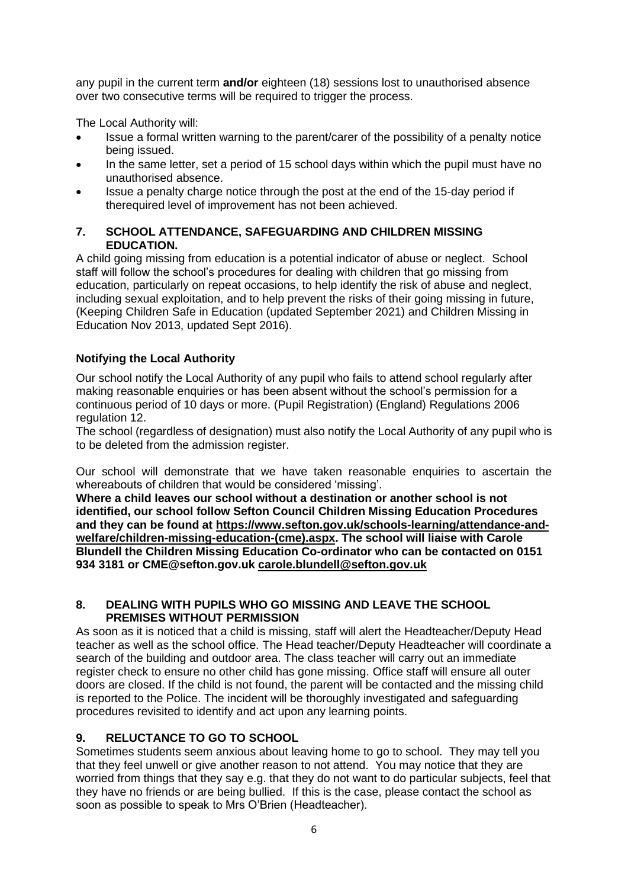any pupil in the current term **and/or** eighteen (18) sessions lost to unauthorised absence over two consecutive terms will be required to trigger the process.

The Local Authority will:

- Issue a formal written warning to the parent/carer of the possibility of a penalty notice being issued.
- In the same letter, set a period of 15 school days within which the pupil must have no unauthorised absence.
- Issue a penalty charge notice through the post at the end of the 15-day period if therequired level of improvement has not been achieved.

## **7. SCHOOL ATTENDANCE, SAFEGUARDING AND CHILDREN MISSING EDUCATION.**

A child going missing from education is a potential indicator of abuse or neglect. School staff will follow the school's procedures for dealing with children that go missing from education, particularly on repeat occasions, to help identify the risk of abuse and neglect, including sexual exploitation, and to help prevent the risks of their going missing in future, (Keeping Children Safe in Education (updated September 2021) and Children Missing in Education Nov 2013, updated Sept 2016).

# **Notifying the Local Authority**

Our school notify the Local Authority of any pupil who fails to attend school regularly after making reasonable enquiries or has been absent without the school's permission for a continuous period of 10 days or more. (Pupil Registration) (England) Regulations 2006 regulation 12.

The school (regardless of designation) must also notify the Local Authority of any pupil who is to be deleted from the admission register.

Our school will demonstrate that we have taken reasonable enquiries to ascertain the whereabouts of children that would be considered 'missing'.

**Where a child leaves our school without a destination or another school is not identified, our school follow Sefton Council Children Missing Education Procedures and they can be found at [https://www.sefton.gov.uk/schools-learning/attendance-and](https://www.sefton.gov.uk/schools-learning/attendance-and-welfare/children-missing-education-(cme).aspx)[welfare/children-missing-education-\(cme\).aspx.](https://www.sefton.gov.uk/schools-learning/attendance-and-welfare/children-missing-education-(cme).aspx) The school will liaise with Carole Blundell the Children Missing Education Co-ordinator who can be contacted on 0151 934 3181 or CME@sefton.gov.uk [carole.blundell@sefton.gov.uk](mailto:carole.blundell@sefton.gov.uk)**

## **8. DEALING WITH PUPILS WHO GO MISSING AND LEAVE THE SCHOOL PREMISES WITHOUT PERMISSION**

As soon as it is noticed that a child is missing, staff will alert the Headteacher/Deputy Head teacher as well as the school office. The Head teacher/Deputy Headteacher will coordinate a search of the building and outdoor area. The class teacher will carry out an immediate register check to ensure no other child has gone missing. Office staff will ensure all outer doors are closed. If the child is not found, the parent will be contacted and the missing child is reported to the Police. The incident will be thoroughly investigated and safeguarding procedures revisited to identify and act upon any learning points.

# **9. RELUCTANCE TO GO TO SCHOOL**

Sometimes students seem anxious about leaving home to go to school. They may tell you that they feel unwell or give another reason to not attend. You may notice that they are worried from things that they say e.g. that they do not want to do particular subjects, feel that they have no friends or are being bullied. If this is the case, please contact the school as soon as possible to speak to Mrs O'Brien (Headteacher).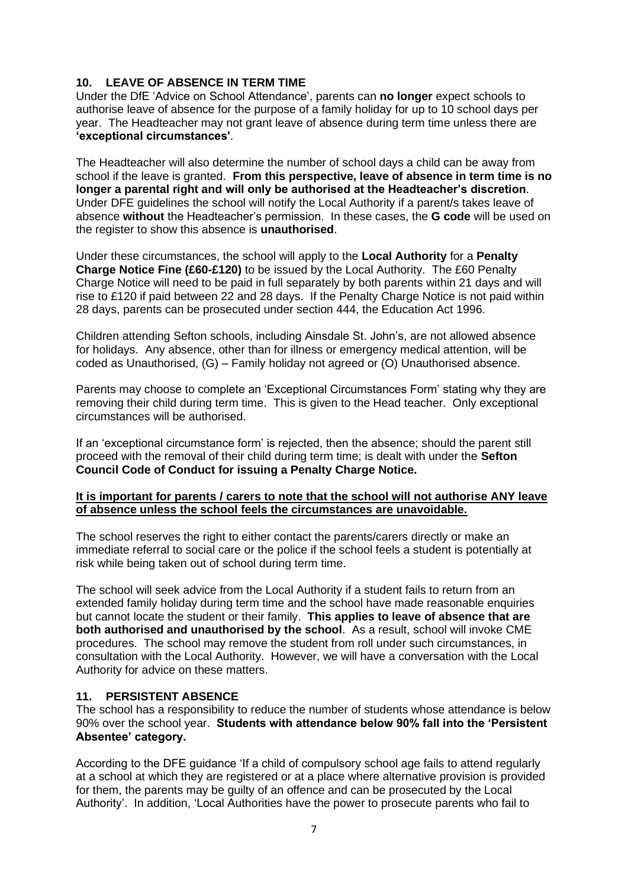## **10. LEAVE OF ABSENCE IN TERM TIME**

Under the DfE 'Advice on School Attendance', parents can **no longer** expect schools to authorise leave of absence for the purpose of a family holiday for up to 10 school days per year. The Headteacher may not grant leave of absence during term time unless there are **'exceptional circumstances'**.

The Headteacher will also determine the number of school days a child can be away from school if the leave is granted. **From this perspective, leave of absence in term time is no longer a parental right and will only be authorised at the Headteacher's discretion**. Under DFE guidelines the school will notify the Local Authority if a parent/s takes leave of absence **without** the Headteacher's permission. In these cases, the **G code** will be used on the register to show this absence is **unauthorised**.

Under these circumstances, the school will apply to the **Local Authority** for a **Penalty Charge Notice Fine (£60-£120)** to be issued by the Local Authority. The £60 Penalty Charge Notice will need to be paid in full separately by both parents within 21 days and will rise to £120 if paid between 22 and 28 days. If the Penalty Charge Notice is not paid within 28 days, parents can be prosecuted under section 444, the Education Act 1996.

Children attending Sefton schools, including Ainsdale St. John's, are not allowed absence for holidays. Any absence, other than for illness or emergency medical attention, will be coded as Unauthorised, (G) – Family holiday not agreed or (O) Unauthorised absence.

Parents may choose to complete an 'Exceptional Circumstances Form' stating why they are removing their child during term time. This is given to the Head teacher. Only exceptional circumstances will be authorised.

If an 'exceptional circumstance form' is rejected, then the absence; should the parent still proceed with the removal of their child during term time; is dealt with under the **Sefton Council Code of Conduct for issuing a Penalty Charge Notice.**

#### **It is important for parents / carers to note that the school will not authorise ANY leave of absence unless the school feels the circumstances are unavoidable.**

The school reserves the right to either contact the parents/carers directly or make an immediate referral to social care or the police if the school feels a student is potentially at risk while being taken out of school during term time.

The school will seek advice from the Local Authority if a student fails to return from an extended family holiday during term time and the school have made reasonable enquiries but cannot locate the student or their family. **This applies to leave of absence that are both authorised and unauthorised by the school**. As a result, school will invoke CME procedures. The school may remove the student from roll under such circumstances, in consultation with the Local Authority. However, we will have a conversation with the Local Authority for advice on these matters.

## **11. PERSISTENT ABSENCE**

The school has a responsibility to reduce the number of students whose attendance is below 90% over the school year. **Students with attendance below 90% fall into the 'Persistent Absentee' category.** 

According to the DFE guidance 'If a child of compulsory school age fails to attend regularly at a school at which they are registered or at a place where alternative provision is provided for them, the parents may be guilty of an offence and can be prosecuted by the Local Authority'. In addition, 'Local Authorities have the power to prosecute parents who fail to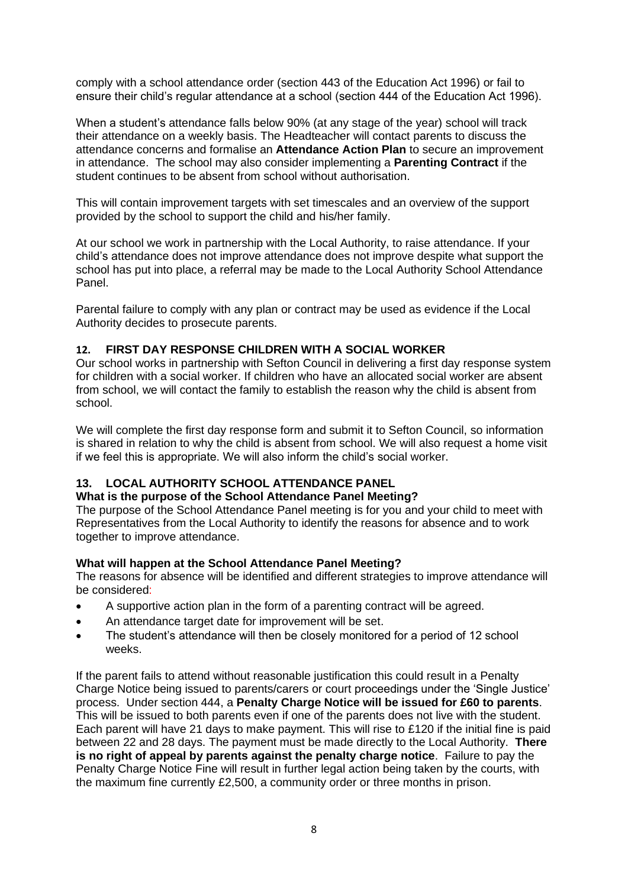comply with a school attendance order (section 443 of the Education Act 1996) or fail to ensure their child's regular attendance at a school (section 444 of the Education Act 1996).

When a student's attendance falls below 90% (at any stage of the year) school will track their attendance on a weekly basis. The Headteacher will contact parents to discuss the attendance concerns and formalise an **Attendance Action Plan** to secure an improvement in attendance. The school may also consider implementing a **Parenting Contract** if the student continues to be absent from school without authorisation.

This will contain improvement targets with set timescales and an overview of the support provided by the school to support the child and his/her family.

At our school we work in partnership with the Local Authority, to raise attendance. If your child's attendance does not improve attendance does not improve despite what support the school has put into place, a referral may be made to the Local Authority School Attendance Panel.

Parental failure to comply with any plan or contract may be used as evidence if the Local Authority decides to prosecute parents.

## **12. FIRST DAY RESPONSE CHILDREN WITH A SOCIAL WORKER**

Our school works in partnership with Sefton Council in delivering a first day response system for children with a social worker. If children who have an allocated social worker are absent from school, we will contact the family to establish the reason why the child is absent from school.

We will complete the first day response form and submit it to Sefton Council, so information is shared in relation to why the child is absent from school. We will also request a home visit if we feel this is appropriate. We will also inform the child's social worker.

## **13. LOCAL AUTHORITY SCHOOL ATTENDANCE PANEL**

#### **What is the purpose of the School Attendance Panel Meeting?**

The purpose of the School Attendance Panel meeting is for you and your child to meet with Representatives from the Local Authority to identify the reasons for absence and to work together to improve attendance.

## **What will happen at the School Attendance Panel Meeting?**

The reasons for absence will be identified and different strategies to improve attendance will be considered:

- A supportive action plan in the form of a parenting contract will be agreed.
- An attendance target date for improvement will be set.
- The student's attendance will then be closely monitored for a period of 12 school weeks.

If the parent fails to attend without reasonable justification this could result in a Penalty Charge Notice being issued to parents/carers or court proceedings under the 'Single Justice' process. Under section 444, a **Penalty Charge Notice will be issued for £60 to parents**. This will be issued to both parents even if one of the parents does not live with the student. Each parent will have 21 days to make payment. This will rise to £120 if the initial fine is paid between 22 and 28 days. The payment must be made directly to the Local Authority. **There is no right of appeal by parents against the penalty charge notice**. Failure to pay the Penalty Charge Notice Fine will result in further legal action being taken by the courts, with the maximum fine currently £2,500, a community order or three months in prison.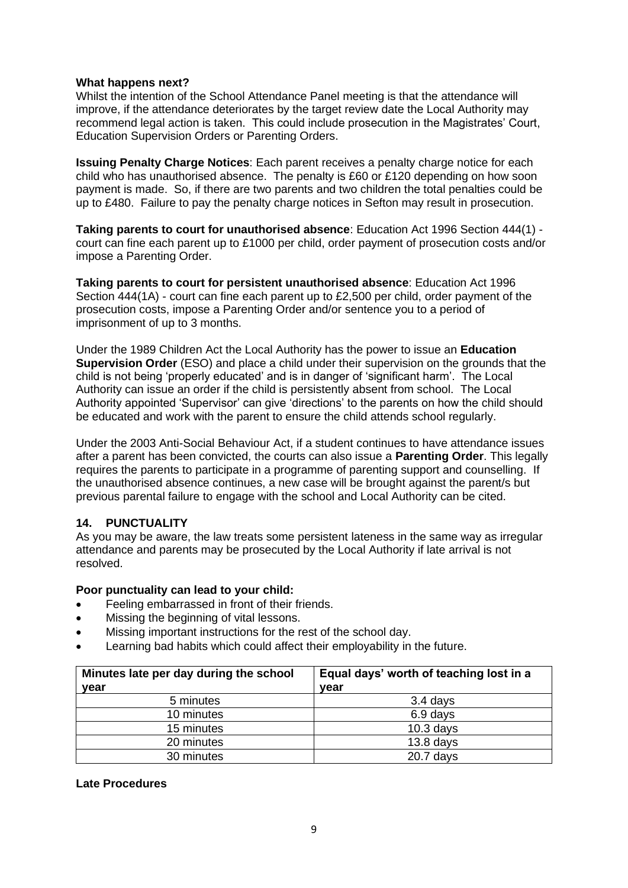#### **What happens next?**

Whilst the intention of the School Attendance Panel meeting is that the attendance will improve, if the attendance deteriorates by the target review date the Local Authority may recommend legal action is taken. This could include prosecution in the Magistrates' Court, Education Supervision Orders or Parenting Orders.

**Issuing Penalty Charge Notices**: Each parent receives a penalty charge notice for each child who has unauthorised absence. The penalty is £60 or £120 depending on how soon payment is made. So, if there are two parents and two children the total penalties could be up to £480. Failure to pay the penalty charge notices in Sefton may result in prosecution.

**Taking parents to court for unauthorised absence**: Education Act 1996 Section 444(1) court can fine each parent up to £1000 per child, order payment of prosecution costs and/or impose a Parenting Order.

**Taking parents to court for persistent unauthorised absence**: Education Act 1996 Section 444(1A) - court can fine each parent up to £2,500 per child, order payment of the prosecution costs, impose a Parenting Order and/or sentence you to a period of imprisonment of up to 3 months.

Under the 1989 Children Act the Local Authority has the power to issue an **Education Supervision Order** (ESO) and place a child under their supervision on the grounds that the child is not being 'properly educated' and is in danger of 'significant harm'. The Local Authority can issue an order if the child is persistently absent from school. The Local Authority appointed 'Supervisor' can give 'directions' to the parents on how the child should be educated and work with the parent to ensure the child attends school regularly.

Under the 2003 Anti-Social Behaviour Act, if a student continues to have attendance issues after a parent has been convicted, the courts can also issue a **Parenting Order**. This legally requires the parents to participate in a programme of parenting support and counselling. If the unauthorised absence continues, a new case will be brought against the parent/s but previous parental failure to engage with the school and Local Authority can be cited.

## **14. PUNCTUALITY**

As you may be aware, the law treats some persistent lateness in the same way as irregular attendance and parents may be prosecuted by the Local Authority if late arrival is not resolved.

## **Poor punctuality can lead to your child:**

- Feeling embarrassed in front of their friends.
- Missing the beginning of vital lessons.
- Missing important instructions for the rest of the school day.
- Learning bad habits which could affect their employability in the future.

| Minutes late per day during the school | Equal days' worth of teaching lost in a |  |
|----------------------------------------|-----------------------------------------|--|
| vear                                   | vear                                    |  |
| 5 minutes                              | 3.4 days                                |  |
| 10 minutes                             | 6.9 days                                |  |
| 15 minutes                             | $10.3$ days                             |  |
| 20 minutes                             | $13.8$ days                             |  |
| 30 minutes                             | $20.7$ days                             |  |

#### **Late Procedures**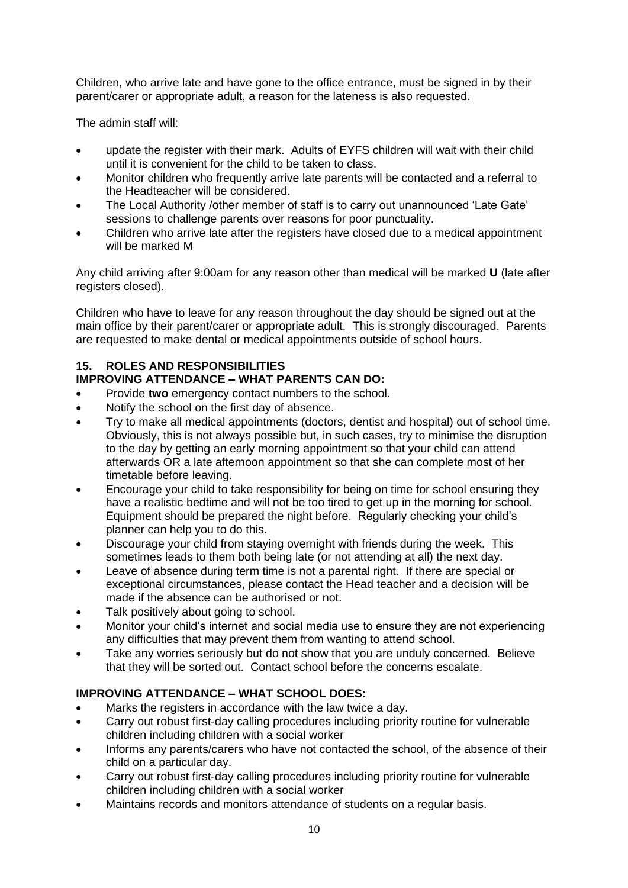Children, who arrive late and have gone to the office entrance, must be signed in by their parent/carer or appropriate adult, a reason for the lateness is also requested.

The admin staff will:

- update the register with their mark. Adults of EYFS children will wait with their child until it is convenient for the child to be taken to class.
- Monitor children who frequently arrive late parents will be contacted and a referral to the Headteacher will be considered.
- The Local Authority /other member of staff is to carry out unannounced 'Late Gate' sessions to challenge parents over reasons for poor punctuality.
- Children who arrive late after the registers have closed due to a medical appointment will be marked M

Any child arriving after 9:00am for any reason other than medical will be marked **U** (late after registers closed).

Children who have to leave for any reason throughout the day should be signed out at the main office by their parent/carer or appropriate adult. This is strongly discouraged. Parents are requested to make dental or medical appointments outside of school hours.

# **15. ROLES AND RESPONSIBILITIES**

# **IMPROVING ATTENDANCE – WHAT PARENTS CAN DO:**

- Provide **two** emergency contact numbers to the school.
- Notify the school on the first day of absence.
- Try to make all medical appointments (doctors, dentist and hospital) out of school time. Obviously, this is not always possible but, in such cases, try to minimise the disruption to the day by getting an early morning appointment so that your child can attend afterwards OR a late afternoon appointment so that she can complete most of her timetable before leaving.
- Encourage your child to take responsibility for being on time for school ensuring they have a realistic bedtime and will not be too tired to get up in the morning for school. Equipment should be prepared the night before. Regularly checking your child's planner can help you to do this.
- Discourage your child from staying overnight with friends during the week. This sometimes leads to them both being late (or not attending at all) the next day.
- Leave of absence during term time is not a parental right. If there are special or exceptional circumstances, please contact the Head teacher and a decision will be made if the absence can be authorised or not.
- Talk positively about going to school.
- Monitor your child's internet and social media use to ensure they are not experiencing any difficulties that may prevent them from wanting to attend school.
- Take any worries seriously but do not show that you are unduly concerned. Believe that they will be sorted out. Contact school before the concerns escalate.

# **IMPROVING ATTENDANCE – WHAT SCHOOL DOES:**

- Marks the registers in accordance with the law twice a day.
- Carry out robust first-day calling procedures including priority routine for vulnerable children including children with a social worker
- Informs any parents/carers who have not contacted the school, of the absence of their child on a particular day.
- Carry out robust first-day calling procedures including priority routine for vulnerable children including children with a social worker
- Maintains records and monitors attendance of students on a regular basis.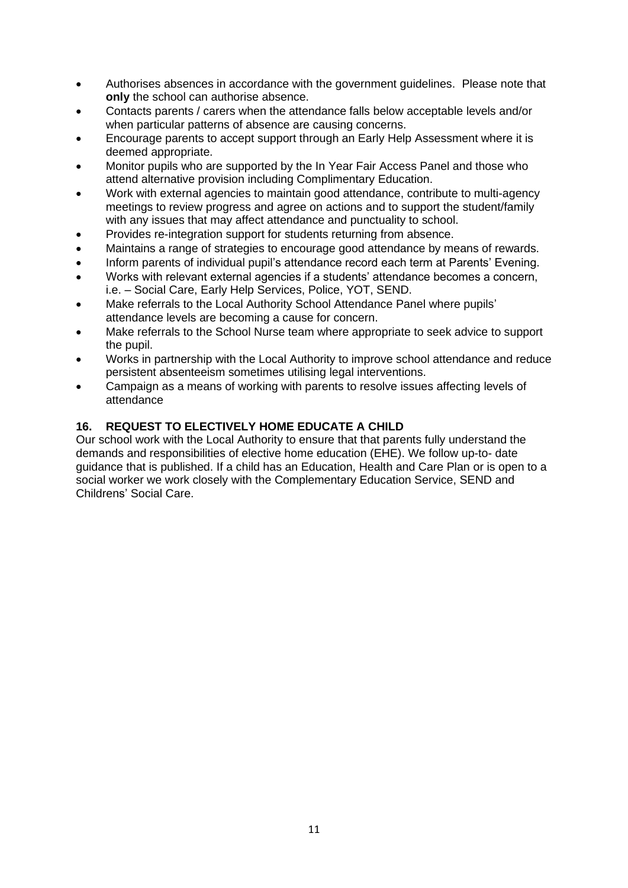- Authorises absences in accordance with the government guidelines. Please note that **only** the school can authorise absence.
- Contacts parents / carers when the attendance falls below acceptable levels and/or when particular patterns of absence are causing concerns.
- Encourage parents to accept support through an Early Help Assessment where it is deemed appropriate.
- Monitor pupils who are supported by the In Year Fair Access Panel and those who attend alternative provision including Complimentary Education.
- Work with external agencies to maintain good attendance, contribute to multi-agency meetings to review progress and agree on actions and to support the student/family with any issues that may affect attendance and punctuality to school.
- Provides re-integration support for students returning from absence.
- Maintains a range of strategies to encourage good attendance by means of rewards.
- Inform parents of individual pupil's attendance record each term at Parents' Evening.
- Works with relevant external agencies if a students' attendance becomes a concern, i.e. – Social Care, Early Help Services, Police, YOT, SEND.
- Make referrals to the Local Authority School Attendance Panel where pupils' attendance levels are becoming a cause for concern.
- Make referrals to the School Nurse team where appropriate to seek advice to support the pupil.
- Works in partnership with the Local Authority to improve school attendance and reduce persistent absenteeism sometimes utilising legal interventions.
- Campaign as a means of working with parents to resolve issues affecting levels of attendance

# **16. REQUEST TO ELECTIVELY HOME EDUCATE A CHILD**

Our school work with the Local Authority to ensure that that parents fully understand the demands and responsibilities of elective home education (EHE). We follow up-to- date guidance that is published. If a child has an Education, Health and Care Plan or is open to a social worker we work closely with the Complementary Education Service, SEND and Childrens' Social Care.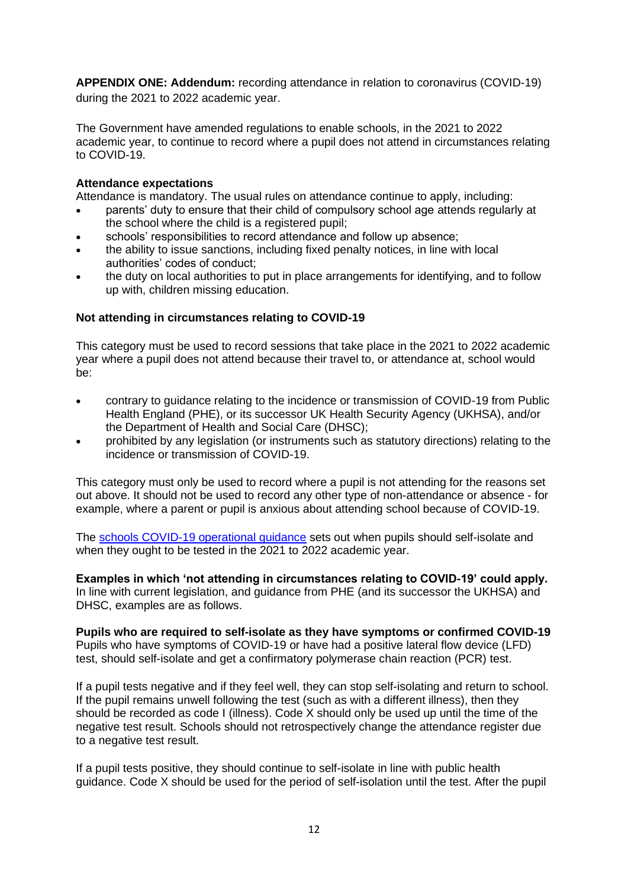**APPENDIX ONE: Addendum:** recording attendance in relation to coronavirus (COVID-19) during the 2021 to 2022 academic year.

The Government have amended regulations to enable schools, in the 2021 to 2022 academic year, to continue to record where a pupil does not attend in circumstances relating to COVID-19.

## **Attendance expectations**

Attendance is mandatory. The usual rules on attendance continue to apply, including:

- parents' duty to ensure that their child of compulsory school age attends regularly at the school where the child is a registered pupil;
- schools' responsibilities to record attendance and follow up absence;
- the ability to issue sanctions, including fixed penalty notices, in line with local authorities' codes of conduct;
- the duty on local authorities to put in place arrangements for identifying, and to follow up with, children missing education.

## **Not attending in circumstances relating to COVID-19**

This category must be used to record sessions that take place in the 2021 to 2022 academic year where a pupil does not attend because their travel to, or attendance at, school would be:

- contrary to guidance relating to the incidence or transmission of COVID-19 from Public Health England (PHE), or its successor UK Health Security Agency (UKHSA), and/or the Department of Health and Social Care (DHSC);
- prohibited by any legislation (or instruments such as statutory directions) relating to the incidence or transmission of COVID-19.

This category must only be used to record where a pupil is not attending for the reasons set out above. It should not be used to record any other type of non-attendance or absence - for example, where a parent or pupil is anxious about attending school because of COVID-19.

The [schools COVID-19 operational guidance](https://www.gov.uk/government/publications/actions-for-schools-during-the-coronavirus-outbreak/schools-covid-19-operational-guidance) sets out when pupils should self-isolate and when they ought to be tested in the 2021 to 2022 academic year.

**Examples in which 'not attending in circumstances relating to COVID-19' could apply.** In line with current legislation, and guidance from PHE (and its successor the UKHSA) and DHSC, examples are as follows.

**Pupils who are required to self-isolate as they have symptoms or confirmed COVID-19** Pupils who have symptoms of COVID-19 or have had a positive lateral flow device (LFD) test, should self-isolate and get a confirmatory polymerase chain reaction (PCR) test.

If a pupil tests negative and if they feel well, they can stop self-isolating and return to school. If the pupil remains unwell following the test (such as with a different illness), then they should be recorded as code I (illness). Code X should only be used up until the time of the negative test result. Schools should not retrospectively change the attendance register due to a negative test result.

If a pupil tests positive, they should continue to self-isolate in line with public health guidance. Code X should be used for the period of self-isolation until the test. After the pupil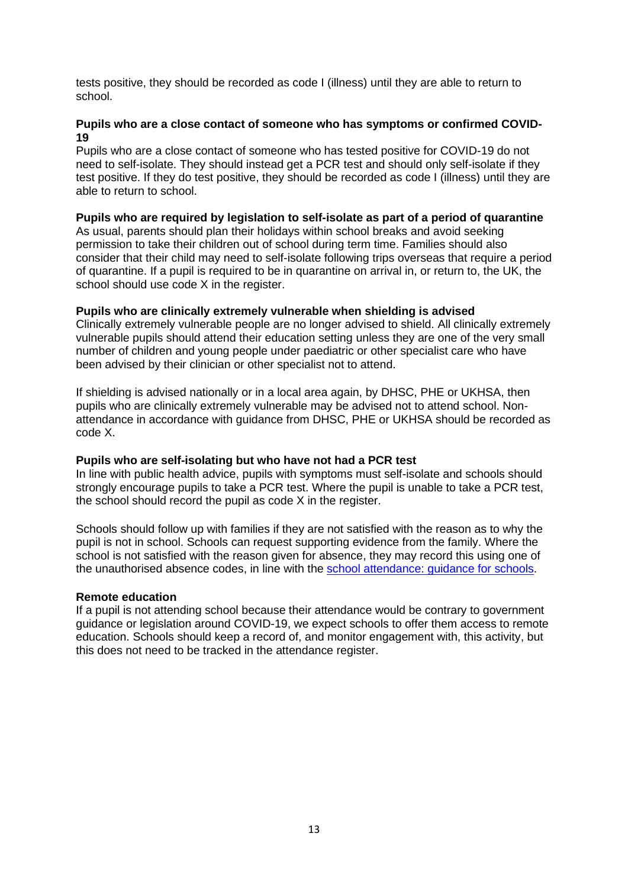tests positive, they should be recorded as code I (illness) until they are able to return to school.

## **Pupils who are a close contact of someone who has symptoms or confirmed COVID-19**

Pupils who are a close contact of someone who has tested positive for COVID-19 do not need to self-isolate. They should instead get a PCR test and should only self-isolate if they test positive. If they do test positive, they should be recorded as code I (illness) until they are able to return to school.

## **Pupils who are required by legislation to self-isolate as part of a period of quarantine**

As usual, parents should plan their holidays within school breaks and avoid seeking permission to take their children out of school during term time. Families should also consider that their child may need to self-isolate following trips overseas that require a period of quarantine. If a pupil is required to be in quarantine on arrival in, or return to, the UK, the school should use code X in the register.

## **Pupils who are clinically extremely vulnerable when shielding is advised**

Clinically extremely vulnerable people are no longer advised to shield. All clinically extremely vulnerable pupils should attend their education setting unless they are one of the very small number of children and young people under paediatric or other specialist care who have been advised by their clinician or other specialist not to attend.

If shielding is advised nationally or in a local area again, by DHSC, PHE or UKHSA, then pupils who are clinically extremely vulnerable may be advised not to attend school. Nonattendance in accordance with guidance from DHSC, PHE or UKHSA should be recorded as code X.

## **Pupils who are self-isolating but who have not had a PCR test**

In line with public health advice, pupils with symptoms must self-isolate and schools should strongly encourage pupils to take a PCR test. Where the pupil is unable to take a PCR test, the school should record the pupil as code X in the register.

Schools should follow up with families if they are not satisfied with the reason as to why the pupil is not in school. Schools can request supporting evidence from the family. Where the school is not satisfied with the reason given for absence, they may record this using one of the unauthorised absence codes, in line with the [school attendance: guidance for schools.](https://www.gov.uk/government/publications/school-attendance)

#### **Remote education**

If a pupil is not attending school because their attendance would be contrary to government guidance or legislation around COVID-19, we expect schools to offer them access to remote education. Schools should keep a record of, and monitor engagement with, this activity, but this does not need to be tracked in the attendance register.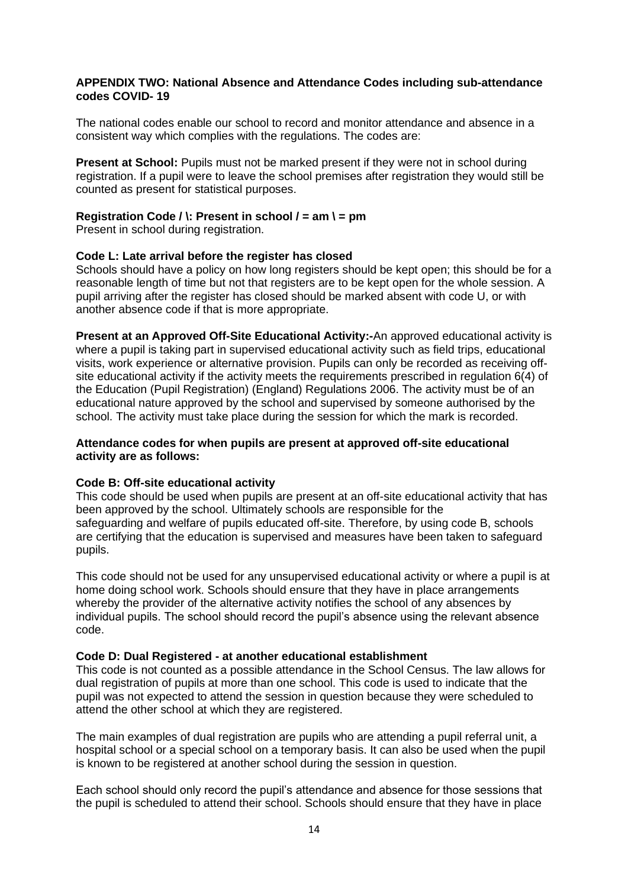#### **APPENDIX TWO: National Absence and Attendance Codes including sub-attendance codes COVID- 19**

The national codes enable our school to record and monitor attendance and absence in a consistent way which complies with the regulations. The codes are:

**Present at School:** Pupils must not be marked present if they were not in school during registration. If a pupil were to leave the school premises after registration they would still be counted as present for statistical purposes.

#### **Registration Code / \: Present in school / = am \ = pm**

Present in school during registration.

#### **Code L: Late arrival before the register has closed**

Schools should have a policy on how long registers should be kept open; this should be for a reasonable length of time but not that registers are to be kept open for the whole session. A pupil arriving after the register has closed should be marked absent with code U, or with another absence code if that is more appropriate.

**Present at an Approved Off-Site Educational Activity:-**An approved educational activity is where a pupil is taking part in supervised educational activity such as field trips, educational visits, work experience or alternative provision. Pupils can only be recorded as receiving offsite educational activity if the activity meets the requirements prescribed in regulation 6(4) of the Education (Pupil Registration) (England) Regulations 2006. The activity must be of an educational nature approved by the school and supervised by someone authorised by the school. The activity must take place during the session for which the mark is recorded.

#### **Attendance codes for when pupils are present at approved off-site educational activity are as follows:**

#### **Code B: Off-site educational activity**

This code should be used when pupils are present at an off-site educational activity that has been approved by the school. Ultimately schools are responsible for the safeguarding and welfare of pupils educated off-site. Therefore, by using code B, schools are certifying that the education is supervised and measures have been taken to safeguard pupils.

This code should not be used for any unsupervised educational activity or where a pupil is at home doing school work. Schools should ensure that they have in place arrangements whereby the provider of the alternative activity notifies the school of any absences by individual pupils. The school should record the pupil's absence using the relevant absence code.

#### **Code D: Dual Registered - at another educational establishment**

This code is not counted as a possible attendance in the School Census. The law allows for dual registration of pupils at more than one school. This code is used to indicate that the pupil was not expected to attend the session in question because they were scheduled to attend the other school at which they are registered.

The main examples of dual registration are pupils who are attending a pupil referral unit, a hospital school or a special school on a temporary basis. It can also be used when the pupil is known to be registered at another school during the session in question.

Each school should only record the pupil's attendance and absence for those sessions that the pupil is scheduled to attend their school. Schools should ensure that they have in place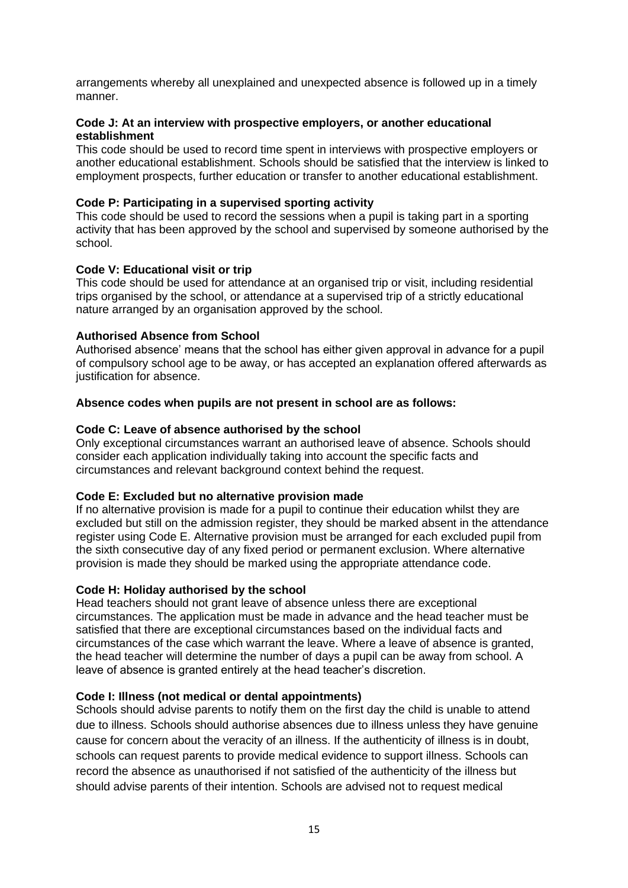arrangements whereby all unexplained and unexpected absence is followed up in a timely manner.

## **Code J: At an interview with prospective employers, or another educational establishment**

This code should be used to record time spent in interviews with prospective employers or another educational establishment. Schools should be satisfied that the interview is linked to employment prospects, further education or transfer to another educational establishment.

## **Code P: Participating in a supervised sporting activity**

This code should be used to record the sessions when a pupil is taking part in a sporting activity that has been approved by the school and supervised by someone authorised by the school.

#### **Code V: Educational visit or trip**

This code should be used for attendance at an organised trip or visit, including residential trips organised by the school, or attendance at a supervised trip of a strictly educational nature arranged by an organisation approved by the school.

#### **Authorised Absence from School**

Authorised absence' means that the school has either given approval in advance for a pupil of compulsory school age to be away, or has accepted an explanation offered afterwards as justification for absence.

#### **Absence codes when pupils are not present in school are as follows:**

#### **Code C: Leave of absence authorised by the school**

Only exceptional circumstances warrant an authorised leave of absence. Schools should consider each application individually taking into account the specific facts and circumstances and relevant background context behind the request.

## **Code E: Excluded but no alternative provision made**

If no alternative provision is made for a pupil to continue their education whilst they are excluded but still on the admission register, they should be marked absent in the attendance register using Code E. Alternative provision must be arranged for each excluded pupil from the sixth consecutive day of any fixed period or permanent exclusion. Where alternative provision is made they should be marked using the appropriate attendance code.

## **Code H: Holiday authorised by the school**

Head teachers should not grant leave of absence unless there are exceptional circumstances. The application must be made in advance and the head teacher must be satisfied that there are exceptional circumstances based on the individual facts and circumstances of the case which warrant the leave. Where a leave of absence is granted, the head teacher will determine the number of days a pupil can be away from school. A leave of absence is granted entirely at the head teacher's discretion.

## **Code I: Illness (not medical or dental appointments)**

Schools should advise parents to notify them on the first day the child is unable to attend due to illness. Schools should authorise absences due to illness unless they have genuine cause for concern about the veracity of an illness. If the authenticity of illness is in doubt, schools can request parents to provide medical evidence to support illness. Schools can record the absence as unauthorised if not satisfied of the authenticity of the illness but should advise parents of their intention. Schools are advised not to request medical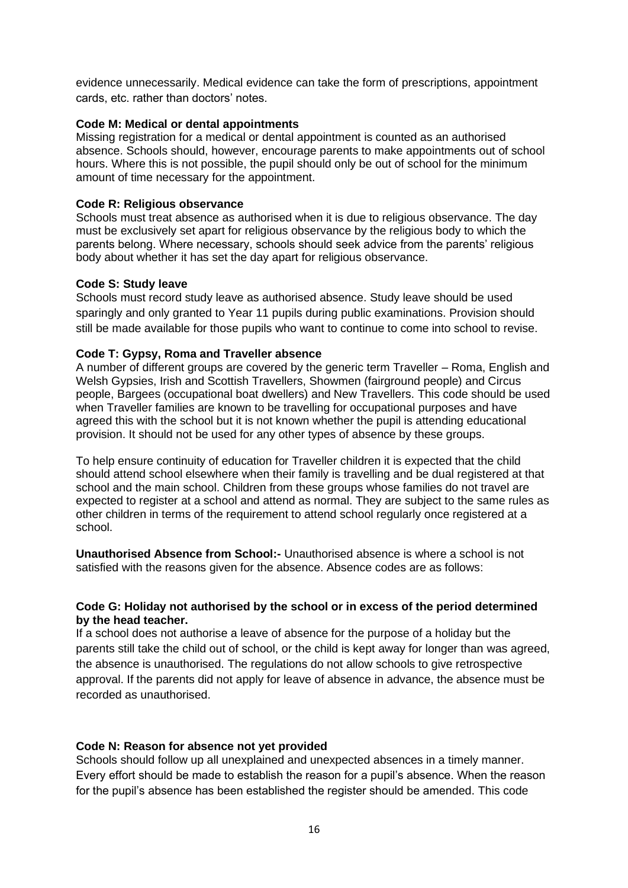evidence unnecessarily. Medical evidence can take the form of prescriptions, appointment cards, etc. rather than doctors' notes.

#### **Code M: Medical or dental appointments**

Missing registration for a medical or dental appointment is counted as an authorised absence. Schools should, however, encourage parents to make appointments out of school hours. Where this is not possible, the pupil should only be out of school for the minimum amount of time necessary for the appointment.

#### **Code R: Religious observance**

Schools must treat absence as authorised when it is due to religious observance. The day must be exclusively set apart for religious observance by the religious body to which the parents belong. Where necessary, schools should seek advice from the parents' religious body about whether it has set the day apart for religious observance.

#### **Code S: Study leave**

Schools must record study leave as authorised absence. Study leave should be used sparingly and only granted to Year 11 pupils during public examinations. Provision should still be made available for those pupils who want to continue to come into school to revise.

#### **Code T: Gypsy, Roma and Traveller absence**

A number of different groups are covered by the generic term Traveller – Roma, English and Welsh Gypsies, Irish and Scottish Travellers, Showmen (fairground people) and Circus people, Bargees (occupational boat dwellers) and New Travellers. This code should be used when Traveller families are known to be travelling for occupational purposes and have agreed this with the school but it is not known whether the pupil is attending educational provision. It should not be used for any other types of absence by these groups.

To help ensure continuity of education for Traveller children it is expected that the child should attend school elsewhere when their family is travelling and be dual registered at that school and the main school. Children from these groups whose families do not travel are expected to register at a school and attend as normal. They are subject to the same rules as other children in terms of the requirement to attend school regularly once registered at a school.

**Unauthorised Absence from School:-** Unauthorised absence is where a school is not satisfied with the reasons given for the absence. Absence codes are as follows:

#### **Code G: Holiday not authorised by the school or in excess of the period determined by the head teacher.**

If a school does not authorise a leave of absence for the purpose of a holiday but the parents still take the child out of school, or the child is kept away for longer than was agreed, the absence is unauthorised. The regulations do not allow schools to give retrospective approval. If the parents did not apply for leave of absence in advance, the absence must be recorded as unauthorised.

#### **Code N: Reason for absence not yet provided**

Schools should follow up all unexplained and unexpected absences in a timely manner. Every effort should be made to establish the reason for a pupil's absence. When the reason for the pupil's absence has been established the register should be amended. This code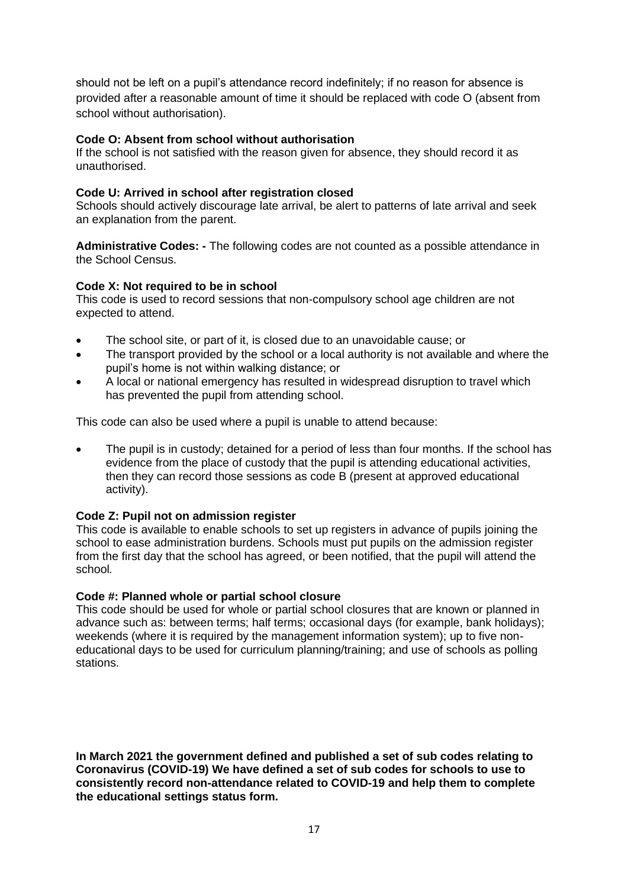should not be left on a pupil's attendance record indefinitely; if no reason for absence is provided after a reasonable amount of time it should be replaced with code O (absent from school without authorisation).

## **Code O: Absent from school without authorisation**

If the school is not satisfied with the reason given for absence, they should record it as unauthorised.

## **Code U: Arrived in school after registration closed**

Schools should actively discourage late arrival, be alert to patterns of late arrival and seek an explanation from the parent.

**Administrative Codes: -** The following codes are not counted as a possible attendance in the School Census.

## **Code X: Not required to be in school**

This code is used to record sessions that non-compulsory school age children are not expected to attend.

- The school site, or part of it, is closed due to an unavoidable cause; or
- The transport provided by the school or a local authority is not available and where the pupil's home is not within walking distance; or
- A local or national emergency has resulted in widespread disruption to travel which has prevented the pupil from attending school.

This code can also be used where a pupil is unable to attend because:

The pupil is in custody; detained for a period of less than four months. If the school has evidence from the place of custody that the pupil is attending educational activities, then they can record those sessions as code B (present at approved educational activity).

## **Code Z: Pupil not on admission register**

This code is available to enable schools to set up registers in advance of pupils joining the school to ease administration burdens. Schools must put pupils on the admission register from the first day that the school has agreed, or been notified, that the pupil will attend the school*.*

## **Code #: Planned whole or partial school closure**

This code should be used for whole or partial school closures that are known or planned in advance such as: between terms; half terms; occasional days (for example, bank holidays); weekends (where it is required by the management information system); up to five noneducational days to be used for curriculum planning/training; and use of schools as polling stations.

**In March 2021 the government defined and published a set of sub codes relating to Coronavirus (COVID-19) We have defined a set of sub codes for schools to use to consistently record non-attendance related to COVID-19 and help them to complete the educational settings status form.**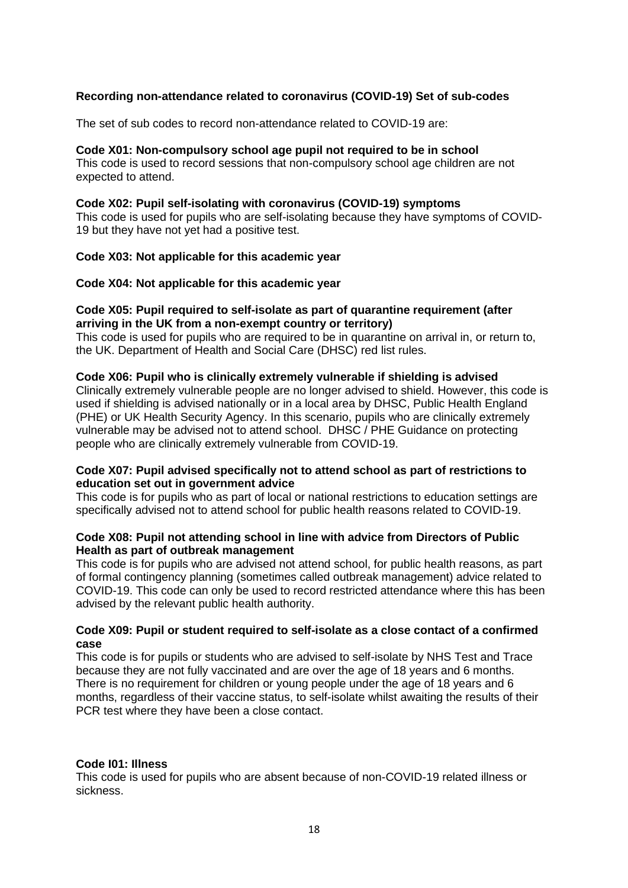## **Recording non-attendance related to coronavirus (COVID-19) Set of sub-codes**

The set of sub codes to record non-attendance related to COVID-19 are:

## **Code X01: Non-compulsory school age pupil not required to be in school**

This code is used to record sessions that non-compulsory school age children are not expected to attend.

#### **Code X02: Pupil self-isolating with coronavirus (COVID-19) symptoms**

This code is used for pupils who are self-isolating because they have symptoms of COVID-19 but they have not yet had a positive test.

#### **Code X03: Not applicable for this academic year**

#### **Code X04: Not applicable for this academic year**

#### **Code X05: Pupil required to self-isolate as part of quarantine requirement (after arriving in the UK from a non-exempt country or territory)**

This code is used for pupils who are required to be in quarantine on arrival in, or return to, the UK. Department of Health and Social Care (DHSC) red list rules.

#### **Code X06: Pupil who is clinically extremely vulnerable if shielding is advised**

Clinically extremely vulnerable people are no longer advised to shield. However, this code is used if shielding is advised nationally or in a local area by DHSC, Public Health England (PHE) or UK Health Security Agency. In this scenario, pupils who are clinically extremely vulnerable may be advised not to attend school. DHSC / PHE Guidance on protecting people who are clinically extremely vulnerable from COVID-19.

#### **Code X07: Pupil advised specifically not to attend school as part of restrictions to education set out in government advice**

This code is for pupils who as part of local or national restrictions to education settings are specifically advised not to attend school for public health reasons related to COVID-19.

## **Code X08: Pupil not attending school in line with advice from Directors of Public Health as part of outbreak management**

This code is for pupils who are advised not attend school, for public health reasons, as part of formal contingency planning (sometimes called outbreak management) advice related to COVID-19. This code can only be used to record restricted attendance where this has been advised by the relevant public health authority.

#### **Code X09: Pupil or student required to self-isolate as a close contact of a confirmed case**

This code is for pupils or students who are advised to self-isolate by NHS Test and Trace because they are not fully vaccinated and are over the age of 18 years and 6 months. There is no requirement for children or young people under the age of 18 years and 6 months, regardless of their vaccine status, to self-isolate whilst awaiting the results of their PCR test where they have been a close contact.

#### **Code I01: Illness**

This code is used for pupils who are absent because of non-COVID-19 related illness or sickness.